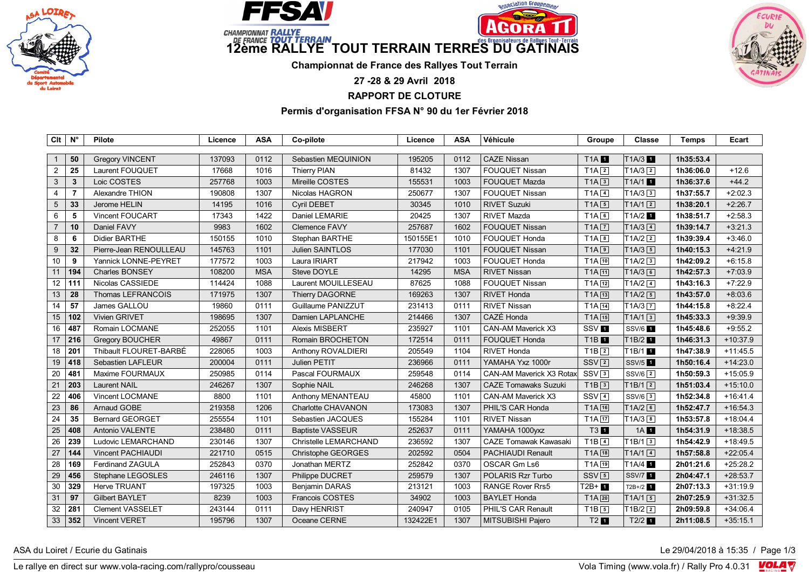







**Championnat de France des Rallyes Tout Terrain**

**27 -28 & 29 Avril 2018**

**RAPPORT DE CLOTURE**

**Permis d'organisation FFSA N° 90 du 1er Février 2018**

| Clt             | $N^{\circ}$    | Pilote                   | Licence | <b>ASA</b> | Co-pilote               | Licence  | <b>ASA</b> | Véhicule                     | Groupe                         | <b>Classe</b>        | <b>Temps</b> | Ecart      |
|-----------------|----------------|--------------------------|---------|------------|-------------------------|----------|------------|------------------------------|--------------------------------|----------------------|--------------|------------|
|                 |                |                          |         |            |                         |          |            |                              |                                |                      |              |            |
| $\mathbf{1}$    | 50             | <b>Gregory VINCENT</b>   | 137093  | 0112       | Sebastien MEQUINION     | 195205   | 0112       | <b>CAZE Nissan</b>           | <b>T1A</b>                     | T1A/3                | 1h35:53.4    |            |
| $\overline{2}$  | 25             | Laurent FOUQUET          | 17668   | 1016       | <b>Thierry PIAN</b>     | 81432    | 1307       | <b>FOUQUET Nissan</b>        | $T1A$ <sup>2</sup>             | $T1A/3$ <sup>2</sup> | 1h36:06.0    | $+12.6$    |
| 3               | $\mathbf{3}$   | Loic COSTES              | 257768  | 1003       | Mireille COSTES         | 155531   | 1003       | <b>FOUQUET Mazda</b>         | $T1A$ <sup>3</sup>             | T1A/1 1              | 1h36:37.6    | $+44.2$    |
| $\overline{4}$  | $\overline{7}$ | Alexandre THION          | 190808  | 1307       | Nicolas HAGRON          | 250677   | 1307       | FOUQUET Nissan               | $T1A$ <sup>4</sup>             | $T1A/3$ 3            | 1h37:55.7    | $+2:02.3$  |
| 5               | 33             | Jerome HELIN             | 14195   | 1016       | <b>Cyril DEBET</b>      | 30345    | 1010       | <b>RIVET Suzuki</b>          | $T1A$ 5                        | T1A/12               | 1h38:20.1    | $+2:26.7$  |
| 6               | $\sqrt{5}$     | Vincent FOUCART          | 17343   | 1422       | Daniel LEMARIE          | 20425    | 1307       | RIVET Mazda                  | TA6                            | T1A/2 <sup>1</sup>   | 1h38:51.7    | $+2:58.3$  |
| $\overline{7}$  | 10             | Daniel FAVY              | 9983    | 1602       | <b>Clemence FAVY</b>    | 257687   | 1602       | <b>FOUQUET Nissan</b>        | $T1A$ $7$                      | $T1A/3$ $\boxed{4}$  | 1h39:14.7    | $+3:21.3$  |
| 8               | 6              | Didier BARTHE            | 150155  | 1010       | Stephan BARTHE          | 150155E1 | 1010       | <b>FOUQUET Honda</b>         | $T1A$ <sup>8</sup>             | $T1A/2$ <sup>2</sup> | 1h39:39.4    | $+3:46.0$  |
| 9               | 32             | Pierre-Jean RENOULLEAU   | 145763  | 1101       | Julien SAINTLOS         | 177030   | 1101       | <b>FOUQUET Nissan</b>        | $T1A$ <sup>9</sup>             | $T1A/3$ 5            | 1h40:15.3    | $+4:21.9$  |
| 10              | 9              | Yannick LONNE-PEYRET     | 177572  | 1003       | Laura IRIART            | 217942   | 1003       | <b>FOUQUET Honda</b>         | T1A 10                         | $T1A/2$ 3            | 1h42:09.2    | $+6:15.8$  |
| 11              | 194            | <b>Charles BONSEY</b>    | 108200  | <b>MSA</b> | Steve DOYLE             | 14295    | <b>MSA</b> | <b>RIVET Nissan</b>          | $T1A$ $11$                     | $T1A/3$ 6            | 1h42:57.3    | $+7:03.9$  |
| 12              | 111            | Nicolas CASSIEDE         | 114424  | 1088       | Laurent MOUILLESEAU     | 87625    | 1088       | FOUQUET Nissan               | T1A 12                         | $T1A/2$ $4$          | 1h43:16.3    | $+7:22.9$  |
| 13              | 28             | Thomas LEFRANCOIS        | 171975  | 1307       | Thierry DAGORNE         | 169263   | 1307       | <b>RIVET Honda</b>           | $T1A$ $13$                     | $T1A/2$ 5            | 1h43:57.0    | $+8:03.6$  |
| 14              | 57             | James GALLOU             | 19860   | 0111       | Guillaume PANIZZUT      | 231413   | 0111       | <b>RIVET Nissan</b>          | $T1A$ $14$                     | $T1A/3$ $\boxed{7}$  | 1h44:15.8    | $+8:22.4$  |
| 15              | 102            | Vivien GRIVET            | 198695  | 1307       | Damien LAPLANCHE        | 214466   | 1307       | CAZÉ Honda                   | $T1A$ $15$                     | T1A/13               | 1h45:33.3    | $+9.39.9$  |
| 16              | 487            | Romain LOCMANE           | 252055  | 1101       | <b>Alexis MISBERT</b>   | 235927   | 1101       | CAN-AM Maverick X3           | SSV <sub>1</sub>               | SSV/6 1              | 1h45:48.6    | $+9:55.2$  |
| 17              | 216            | Gregory BOUCHER          | 49867   | 0111       | Romain BROCHETON        | 172514   | 0111       | <b>FOUQUET Honda</b>         | T1B <sub>1</sub>               | T1B/2 <sup>1</sup>   | 1h46:31.3    | $+10:37.9$ |
| 18              | 201            | Thibault FLOURET-BARBÉ   | 228065  | 1003       | Anthony ROVALDIERI      | 205549   | 1104       | <b>RIVET Honda</b>           | $T1B$ <sup>2</sup>             | T1B/1                | 1h47:38.9    | $+11:45.5$ |
| 19              | 418            | Sebastien LAFLEUR        | 200004  | 0111       | Julien PETIT            | 236966   | 0111       | YAMAHA Yxz 1000r             | SSV <sub>2</sub>               | SSV/5 1              | 1h50:16.4    | $+14:23.0$ |
| 20              | 481            | Maxime FOURMAUX          | 250985  | 0114       | Pascal FOURMAUX         | 259548   | 0114       | CAN-AM Maverick X3 Rotax     | $SSV$ $3$                      | $SSV/6$ $\boxed{2}$  | 1h50:59.3    | $+15:05.9$ |
| 21              | 203            | <b>Laurent NAIL</b>      | 246267  | 1307       | Sophie NAIL             | 246268   | 1307       | <b>CAZE Tomawaks Suzuki</b>  | $T1B$ 3                        | $T1B/12$             | 1h51:03.4    | $+15:10.0$ |
| 22              | 406            | Vincent LOCMANE          | 8800    | 1101       | Anthony MENANTEAU       | 45800    | 1101       | CAN-AM Maverick X3           | SSV <sub>1</sub>               | $SSV/6$ 3            | 1h52:34.8    | $+16:41.4$ |
| 23              | 86             | Arnaud GOBE              | 219358  | 1206       | Charlotte CHAVANON      | 173083   | 1307       | PHIL'S CAR Honda             | T1A <sub>[16]</sub>            | $TIA/2$ 6            | 1h52:47.7    | $+16:54.3$ |
| $\overline{24}$ | 35             | <b>Bernard GEORGET</b>   | 255554  | 1101       | Sebastien JACQUES       | 155284   | 1101       | <b>RIVET Nissan</b>          | T1A 17                         | $T1A/3$ 8            | 1h53:57.8    | $+18:04.4$ |
| 25              | 408            | Antonio VALENTE          | 238480  | 0111       | <b>Baptiste VASSEUR</b> | 252637   | 0111       | YAMAHA 1000yxz               | T3 1                           | 1A                   | 1h54:31.9    | $+18:38.5$ |
| 26              | 239            | Ludovic LEMARCHAND       | 230146  | 1307       | Christelle LEMARCHAND   | 236592   | 1307       | <b>CAZE Tomawak Kawasaki</b> | $T1B$ <sup>4</sup>             | T1B/13               | 1h54:42.9    | $+18:49.5$ |
| 27              | 144            | <b>Vincent PACHIAUDI</b> | 221710  | 0515       | Christophe GEORGES      | 202592   | 0504       | <b>PACHIAUDI Renault</b>     | T1A 18                         | $TIA/1$ $4$          | 1h57:58.8    | $+22:05.4$ |
| 28              | 169            | Ferdinand ZAGULA         | 252843  | 0370       | Jonathan MERTZ          | 252842   | 0370       | OSCAR Gm Ls6                 | T <sub>1</sub> A <sub>19</sub> | T1A/4 1              | 2h01:21.6    | $+25:28.2$ |
| 29              | 456            | Stephane LEGOSLES        | 246116  | 1307       | Philippe DUCRET         | 259579   | 1307       | POLARIS Rzr Turbo            | $SSV$ 5                        | <b>SSV/7</b> 1       | 2h04:47.1    | $+28:53.7$ |
| 30              | 329            | <b>Herve TRUANT</b>      | 197325  | 1003       | Benjamin DARAS          | 213121   | 1003       | <b>RANGE Rover Rrs5</b>      | $T2B+1$                        | $T2B+/2$ 1           | 2h07:13.3    | $+31:19.9$ |
| 31              | 97             | <b>Gilbert BAYLET</b>    | 8239    | 1003       | Francois COSTES         | 34902    | 1003       | <b>BAYLET Honda</b>          | $T1A$ $20$                     | T1A/15               | 2h07:25.9    | $+31:32.5$ |
| 32              | 281            | Clement VASSELET         | 243144  | 0111       | Davy HENRIST            | 240947   | 0105       | PHIL'S CAR Renault           | $T1B$ 5                        | $T1B/2$ <sup>2</sup> | 2h09:59.8    | $+34:06.4$ |
| 33              | 352            | Vincent VERET            | 195796  | 1307       | Oceane CERNE            | 132422E1 | 1307       | MITSUBISHI Pajero            | T2 <sup>1</sup>                | $T2/2$ 1             | 2h11:08.5    | $+35:15.1$ |

ASA du Loiret / Ecurie du Gatinais **Le 29/04/2018 à 15:35** / Page 1/3

Le rallye en direct sur www.vola-racing.com/rallypro/cousseau Vola Timing (www.vola.fr) / Rally Pro 4.0.31 VOLA V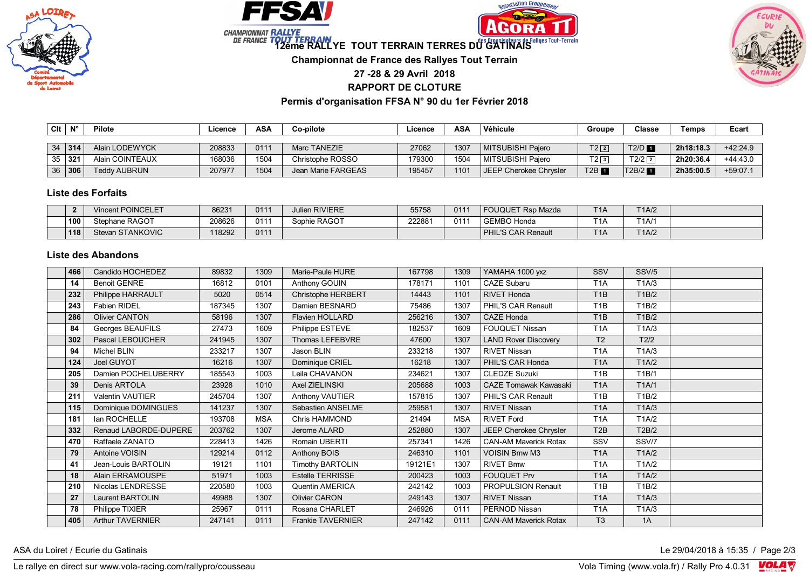







**12ème RALLYE TOUT TERRAIN TERRES DU GATINAIS** 

**Championnat de France des Rallyes Tout Terrain**

**27 -28 & 29 Avril 2018**

**RAPPORT DE CLOTURE**

**Permis d'organisation FFSA N° 90 du 1er Février 2018**

| Clt | <b>N°</b>     | <b>Pilote</b>       | .icence | ASA  | Co-pilote          | ∟icence | ASA  | Véhicule               | Groupe            | Classe              | Геmрs     | Ecart      |
|-----|---------------|---------------------|---------|------|--------------------|---------|------|------------------------|-------------------|---------------------|-----------|------------|
|     |               |                     |         |      |                    |         |      |                        |                   |                     |           |            |
|     | $34 \mid 314$ | Alain LODEWYCK      | 208833  | 0111 | Marc TANEZIE       | 27062   | 1307 | MITSUBISHI Paiero      | $T2$ <sup>2</sup> | $T2/D$ <b>n</b>     | 2h18:18.3 | $+42:24.9$ |
| 35  | ا 321         | Alain COINTEAUX     | 168036  | 1504 | Christophe ROSSO   | 179300  | 1504 | MITSUBISHI Paiero      | T23               | $T2/2$ <sup>2</sup> | 2h20:36.4 | $+44:43.0$ |
| 36  | 306           | <b>Teddy AUBRUN</b> | 207977  | 1504 | Jean Marie FARGEAS | 195457  | 1101 | JEEP Cherokee Chrysler | T2B               | T2B/2               | 2h35:00.5 | $+59:07.1$ |

## **Liste des Forfaits**

|     | Vincent POINCELET | 86231  | 0111 | <b>Julien RIVIERE</b> | 55758  | 011' | <b>FOUQUET Rsp Mazda</b>  | T <sub>1</sub> A | T1A/2 |  |
|-----|-------------------|--------|------|-----------------------|--------|------|---------------------------|------------------|-------|--|
| 100 | Stephane RAGOT    | 208626 | 011  | Sophie RAGOT          | 222881 | 011  | <b>GEMBO Honda</b>        | T <sub>1</sub> A | T1A/1 |  |
| 118 | Stevan STANKOVIC  | 118292 | 0111 |                       |        |      | <b>PHIL'S CAR Renault</b> | T <sub>1</sub> A | T1A/2 |  |

## **Liste des Abandons**

| 466 | Candido HOCHEDEZ        | 89832  | 1309       | Marie-Paule HURE         | 167798  | 1309       | YAMAHA 1000 yxz              | SSV              | SSV/5 |  |
|-----|-------------------------|--------|------------|--------------------------|---------|------------|------------------------------|------------------|-------|--|
| 14  | <b>Benoit GENRE</b>     | 16812  | 0101       | Anthony GOUIN            | 178171  | 1101       | CAZE Subaru                  | T <sub>1</sub> A | T1A/3 |  |
| 232 | Philippe HARRAULT       | 5020   | 0514       | Christophe HERBERT       | 14443   | 1101       | <b>RIVET Honda</b>           | T <sub>1</sub> B | T1B/2 |  |
| 243 | <b>Fabien RIDEL</b>     | 187345 | 1307       | Damien BESNARD           | 75486   | 1307       | PHIL'S CAR Renault           | T <sub>1</sub> B | T1B/2 |  |
| 286 | <b>Olivier CANTON</b>   | 58196  | 1307       | <b>Flavien HOLLARD</b>   | 256216  | 1307       | <b>CAZE Honda</b>            | T <sub>1</sub> B | T1B/2 |  |
| 84  | Georges BEAUFILS        | 27473  | 1609       | Philippe ESTEVE          | 182537  | 1609       | <b>FOUQUET Nissan</b>        | T <sub>1</sub> A | T1A/3 |  |
| 302 | Pascal LEBOUCHER        | 241945 | 1307       | Thomas LEFEBVRE          | 47600   | 1307       | <b>LAND Rover Discovery</b>  | T <sub>2</sub>   | T2/2  |  |
| 94  | Michel BLIN             | 233217 | 1307       | Jason BLIN               | 233218  | 1307       | RIVET Nissan                 | T <sub>1</sub> A | TA/3  |  |
| 124 | Joel GUYOT              | 16216  | 1307       | Dominique CRIEL          | 16218   | 1307       | PHIL'S CAR Honda             | T <sub>1</sub> A | TA/2  |  |
| 205 | Damien POCHELUBERRY     | 185543 | 1003       | Leila CHAVANON           | 234621  | 1307       | <b>CLEDZE Suzuki</b>         | T <sub>1</sub> B | T1B/1 |  |
| 39  | Denis ARTOLA            | 23928  | 1010       | Axel ZIELINSKI           | 205688  | 1003       | <b>CAZE Tomawak Kawasaki</b> | T <sub>1</sub> A | T1A/1 |  |
| 211 | <b>Valentin VAUTIER</b> | 245704 | 1307       | Anthony VAUTIER          | 157815  | 1307       | PHIL'S CAR Renault           | T <sub>1</sub> B | T1B/2 |  |
| 115 | Dominique DOMINGUES     | 141237 | 1307       | Sebastien ANSELME        | 259581  | 1307       | <b>RIVET Nissan</b>          | T <sub>1</sub> A | TA/3  |  |
| 181 | lan ROCHELLE            | 193708 | <b>MSA</b> | Chris HAMMOND            | 21494   | <b>MSA</b> | <b>RIVET Ford</b>            | T <sub>1</sub> A | T1A/2 |  |
| 332 | Renaud LABORDE-DUPERE   | 203762 | 1307       | Jerome ALARD             | 252880  | 1307       | JEEP Cherokee Chrysler       | T <sub>2</sub> B | T2B/2 |  |
| 470 | Raffaele ZANATO         | 228413 | 1426       | Romain UBERTI            | 257341  | 1426       | <b>CAN-AM Maverick Rotax</b> | SSV              | SSV/7 |  |
| 79  | Antoine VOISIN          | 129214 | 0112       | Anthony BOIS             | 246310  | 1101       | <b>VOISIN Bmw M3</b>         | T <sub>1</sub> A | TA/2  |  |
| 41  | Jean-Louis BARTOLIN     | 19121  | 1101       | <b>Timothy BARTOLIN</b>  | 19121E1 | 1307       | <b>RIVET Bmw</b>             | T <sub>1</sub> A | T1A/2 |  |
| 18  | Alain ERRAMOUSPE        | 51971  | 1003       | <b>Estelle TERRISSE</b>  | 200423  | 1003       | <b>FOUQUET Prv</b>           | T <sub>1</sub> A | T1A/2 |  |
| 210 | Nicolas LENDRESSE       | 220580 | 1003       | Quentin AMERICA          | 242142  | 1003       | <b>PROPULSION Renault</b>    | T <sub>1</sub> B | T1B/2 |  |
| 27  | Laurent BARTOLIN        | 49988  | 1307       | <b>Olivier CARON</b>     | 249143  | 1307       | <b>RIVET Nissan</b>          | T <sub>1</sub> A | TA/3  |  |
| 78  | Philippe TIXIER         | 25967  | 0111       | Rosana CHARLET           | 246926  | 0111       | PERNOD Nissan                | T <sub>1</sub> A | TA/3  |  |
| 405 | <b>Arthur TAVERNIER</b> | 247141 | 0111       | <b>Frankie TAVERNIER</b> | 247142  | 0111       | <b>CAN-AM Maverick Rotax</b> | T <sub>3</sub>   | 1A    |  |

ASA du Loiret / Ecurie du Gatinais **Le 29/04/2018 à 15:35** / Page 2/3

Le rallye en direct sur www.vola-racing.com/rallypro/cousseau Vola Timing (www.vola.fr) / Rally Pro 4.0.31 VOLA V